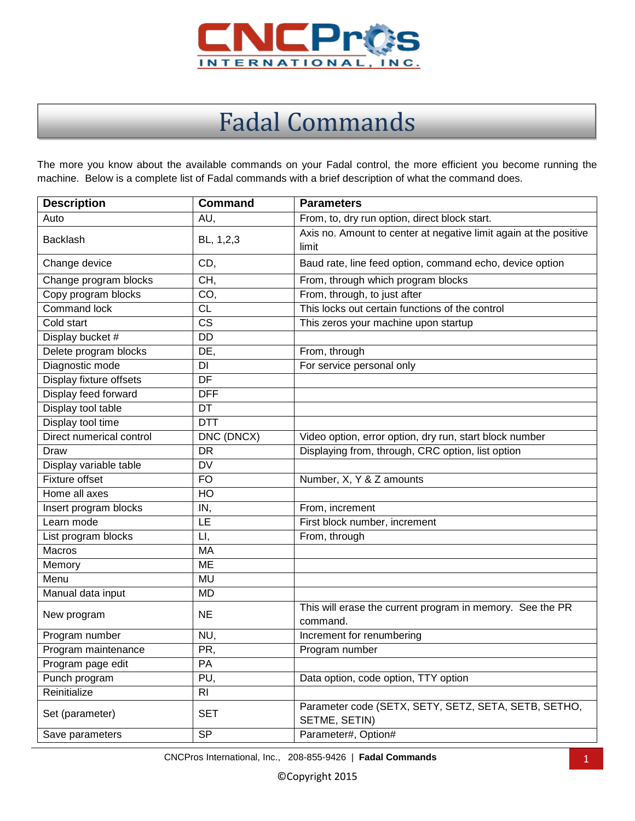

## Fadal Commands

The more you know about the available commands on your Fadal control, the more efficient you become running the machine. Below is a complete list of Fadal commands with a brief description of what the command does.

| <b>Description</b>       | <b>Command</b> | <b>Parameters</b>                                                          |
|--------------------------|----------------|----------------------------------------------------------------------------|
| Auto                     | AU,            | From, to, dry run option, direct block start.                              |
| <b>Backlash</b>          | BL, 1,2,3      | Axis no. Amount to center at negative limit again at the positive<br>limit |
| Change device            | CD,            | Baud rate, line feed option, command echo, device option                   |
| Change program blocks    | CH,            | From, through which program blocks                                         |
| Copy program blocks      | CO,            | From, through, to just after                                               |
| <b>Command lock</b>      | <b>CL</b>      | This locks out certain functions of the control                            |
| Cold start               | <b>CS</b>      | This zeros your machine upon startup                                       |
| Display bucket #         | <b>DD</b>      |                                                                            |
| Delete program blocks    | DE,            | From, through                                                              |
| Diagnostic mode          | DI             | For service personal only                                                  |
| Display fixture offsets  | DF             |                                                                            |
| Display feed forward     | <b>DFF</b>     |                                                                            |
| Display tool table       | DT             |                                                                            |
| Display tool time        | <b>DTT</b>     |                                                                            |
| Direct numerical control | DNC (DNCX)     | Video option, error option, dry run, start block number                    |
| Draw                     | <b>DR</b>      | Displaying from, through, CRC option, list option                          |
| Display variable table   | <b>DV</b>      |                                                                            |
| Fixture offset           | <b>FO</b>      | Number, X, Y & Z amounts                                                   |
| Home all axes            | HO             |                                                                            |
| Insert program blocks    | IN,            | From, increment                                                            |
| Learn mode               | LE             | First block number, increment                                              |
| List program blocks      | LI,            | From, through                                                              |
| <b>Macros</b>            | MA             |                                                                            |
| Memory                   | ME             |                                                                            |
| Menu                     | <b>MU</b>      |                                                                            |
| Manual data input        | <b>MD</b>      |                                                                            |
| New program              | <b>NE</b>      | This will erase the current program in memory. See the PR<br>command.      |
| Program number           | NU,            | Increment for renumbering                                                  |
| Program maintenance      | PR,            | Program number                                                             |
| Program page edit        | PA             |                                                                            |
| Punch program            | PU,            | Data option, code option, TTY option                                       |
| Reinitialize             | R <sub>l</sub> |                                                                            |
| Set (parameter)          | <b>SET</b>     | Parameter code (SETX, SETY, SETZ, SETA, SETB, SETHO,<br>SETME, SETIN)      |
| Save parameters          | <b>SP</b>      | Parameter#, Option#                                                        |

CNCPros International, Inc., 208-855-9426 | **Fadal Commands** 1